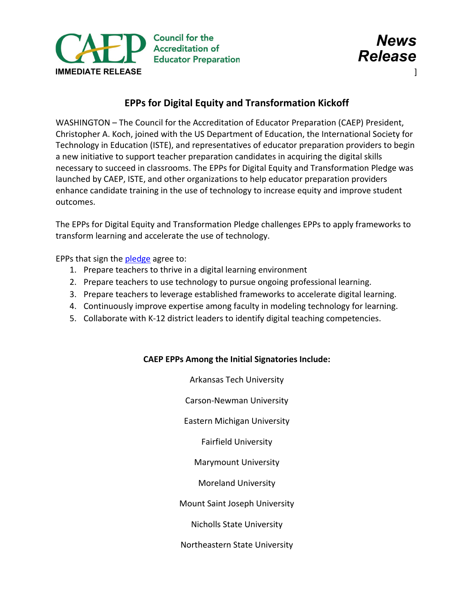



## **EPPs for Digital Equity and Transformation Kickoff**

WASHINGTON – The Council for the Accreditation of Educator Preparation (CAEP) President, Christopher A. Koch, joined with the US Department of Education, the International Society for Technology in Education (ISTE), and representatives of educator preparation providers to begin a new initiative to support teacher preparation candidates in acquiring the digital skills necessary to succeed in classrooms. The EPPs for Digital Equity and Transformation Pledge was launched by CAEP, ISTE, and other organizations to help educator preparation providers enhance candidate training in the use of technology to increase equity and improve student outcomes.

The EPPs for Digital Equity and Transformation Pledge challenges EPPs to apply frameworks to transform learning and accelerate the use of technology.

EPPs that sign the [pledge](https://www.iste.org/EPP-pledge) agree to:

- 1. Prepare teachers to thrive in a digital learning environment
- 2. Prepare teachers to use technology to pursue ongoing professional learning.
- 3. Prepare teachers to leverage established frameworks to accelerate digital learning.
- 4. Continuously improve expertise among faculty in modeling technology for learning.
- 5. Collaborate with K-12 district leaders to identify digital teaching competencies.

## **CAEP EPPs Among the Initial Signatories Include:**

Arkansas Tech University Carson-Newman University Eastern Michigan University Fairfield University Marymount University Moreland University Mount Saint Joseph University Nicholls State University Northeastern State University